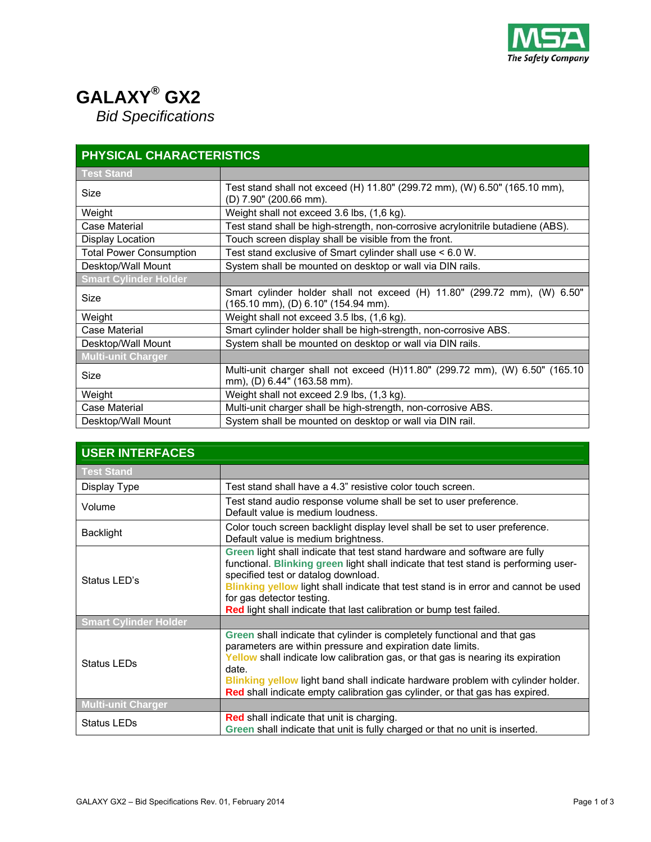

## **GALAXY® GX2***Bid Specifications*

| <b>PHYSICAL CHARACTERISTICS</b> |                                                                                                                 |
|---------------------------------|-----------------------------------------------------------------------------------------------------------------|
| <b>Test Stand</b>               |                                                                                                                 |
| Size                            | Test stand shall not exceed (H) 11.80" (299.72 mm), (W) 6.50" (165.10 mm),<br>(D) 7.90" (200.66 mm).            |
| Weight                          | Weight shall not exceed 3.6 lbs, (1,6 kg).                                                                      |
| Case Material                   | Test stand shall be high-strength, non-corrosive acrylonitrile butadiene (ABS).                                 |
| <b>Display Location</b>         | Touch screen display shall be visible from the front.                                                           |
| <b>Total Power Consumption</b>  | Test stand exclusive of Smart cylinder shall use < 6.0 W.                                                       |
| Desktop/Wall Mount              | System shall be mounted on desktop or wall via DIN rails.                                                       |
| <b>Smart Cylinder Holder</b>    |                                                                                                                 |
| Size                            | Smart cylinder holder shall not exceed (H) 11.80" (299.72 mm), (W) 6.50"<br>(165.10 mm), (D) 6.10" (154.94 mm). |
| Weight                          | Weight shall not exceed 3.5 lbs, (1,6 kg).                                                                      |
| Case Material                   | Smart cylinder holder shall be high-strength, non-corrosive ABS.                                                |
| Desktop/Wall Mount              | System shall be mounted on desktop or wall via DIN rails.                                                       |
| <b>Multi-unit Charger</b>       |                                                                                                                 |
| Size                            | Multi-unit charger shall not exceed (H)11.80" (299.72 mm), (W) 6.50" (165.10<br>mm), (D) 6.44" (163.58 mm).     |
| Weight                          | Weight shall not exceed 2.9 lbs, (1,3 kg).                                                                      |
| Case Material                   | Multi-unit charger shall be high-strength, non-corrosive ABS.                                                   |
| Desktop/Wall Mount              | System shall be mounted on desktop or wall via DIN rail.                                                        |

| <b>USER INTERFACES</b>       |                                                                                                                                                                                                                                                                                                                                                                                                        |
|------------------------------|--------------------------------------------------------------------------------------------------------------------------------------------------------------------------------------------------------------------------------------------------------------------------------------------------------------------------------------------------------------------------------------------------------|
| <b>Test Stand</b>            |                                                                                                                                                                                                                                                                                                                                                                                                        |
| Display Type                 | Test stand shall have a 4.3" resistive color touch screen.                                                                                                                                                                                                                                                                                                                                             |
| Volume                       | Test stand audio response volume shall be set to user preference.<br>Default value is medium loudness.                                                                                                                                                                                                                                                                                                 |
| <b>Backlight</b>             | Color touch screen backlight display level shall be set to user preference.<br>Default value is medium brightness.                                                                                                                                                                                                                                                                                     |
| Status LED's                 | Green light shall indicate that test stand hardware and software are fully<br>functional. Blinking green light shall indicate that test stand is performing user-<br>specified test or datalog download.<br>Blinking yellow light shall indicate that test stand is in error and cannot be used<br>for gas detector testing.<br>Red light shall indicate that last calibration or bump test failed.    |
| <b>Smart Cylinder Holder</b> |                                                                                                                                                                                                                                                                                                                                                                                                        |
| <b>Status LEDs</b>           | Green shall indicate that cylinder is completely functional and that gas<br>parameters are within pressure and expiration date limits.<br>Yellow shall indicate low calibration gas, or that gas is nearing its expiration<br>date.<br>Blinking yellow light band shall indicate hardware problem with cylinder holder.<br>Red shall indicate empty calibration gas cylinder, or that gas has expired. |
| <b>Multi-unit Charger</b>    |                                                                                                                                                                                                                                                                                                                                                                                                        |
| <b>Status LEDs</b>           | <b>Red shall indicate that unit is charging.</b><br>Green shall indicate that unit is fully charged or that no unit is inserted.                                                                                                                                                                                                                                                                       |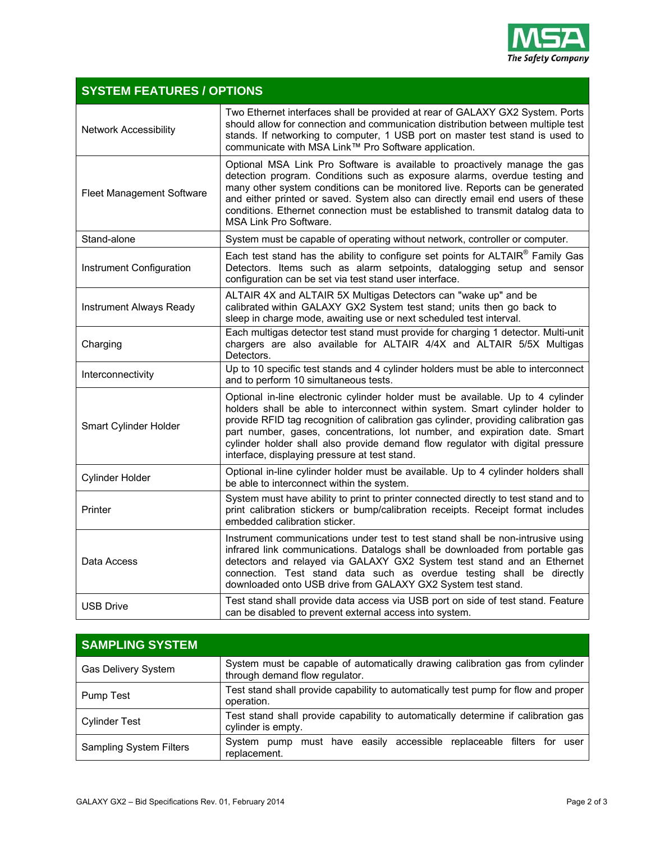

## **SYSTEM FEATURES / OPTIONS**  Network Accessibility Two Ethernet interfaces shall be provided at rear of GALAXY GX2 System. Ports should allow for connection and communication distribution between multiple test stands. If networking to computer, 1 USB port on master test stand is used to communicate with MSA Link™ Pro Software application. Fleet Management Software Optional MSA Link Pro Software is available to proactively manage the gas detection program. Conditions such as exposure alarms, overdue testing and many other system conditions can be monitored live. Reports can be generated and either printed or saved. System also can directly email end users of these conditions. Ethernet connection must be established to transmit datalog data to MSA Link Pro Software. Stand-alone System must be capable of operating without network, controller or computer. Instrument Configuration Each test stand has the ability to configure set points for ALTAIR<sup>®</sup> Family Gas Detectors. Items such as alarm setpoints, datalogging setup and sensor configuration can be set via test stand user interface. Instrument Always Ready ALTAIR 4X and ALTAIR 5X Multigas Detectors can "wake up" and be calibrated within GALAXY GX2 System test stand; units then go back to sleep in charge mode, awaiting use or next scheduled test interval. Charging Each multigas detector test stand must provide for charging 1 detector. Multi-unit chargers are also available for ALTAIR 4/4X and ALTAIR 5/5X Multigas Detectors. Interconnectivity Up to 10 specific test stands and 4 cylinder holders must be able to interconnect and to perform 10 simultaneous tests. Smart Cylinder Holder Optional in-line electronic cylinder holder must be available. Up to 4 cylinder holders shall be able to interconnect within system. Smart cylinder holder to provide RFID tag recognition of calibration gas cylinder, providing calibration gas part number, gases, concentrations, lot number, and expiration date. Smart cylinder holder shall also provide demand flow regulator with digital pressure interface, displaying pressure at test stand. Cylinder Holder **Optional in-line cylinder holder must be available**. Up to 4 cylinder holders shall be able to interconnect within the system. **Printer** System must have ability to print to printer connected directly to test stand and to print calibration stickers or bump/calibration receipts. Receipt format includes embedded calibration sticker. Data Access Instrument communications under test to test stand shall be non-intrusive using infrared link communications. Datalogs shall be downloaded from portable gas detectors and relayed via GALAXY GX2 System test stand and an Ethernet connection. Test stand data such as overdue testing shall be directly downloaded onto USB drive from GALAXY GX2 System test stand. USB Drive Test stand shall provide data access via USB port on side of test stand. Feature can be disabled to prevent external access into system.

| <b>SAMPLING SYSTEM</b>         |                                                                                                                 |
|--------------------------------|-----------------------------------------------------------------------------------------------------------------|
| Gas Delivery System            | System must be capable of automatically drawing calibration gas from cylinder<br>through demand flow regulator. |
| Pump Test                      | Test stand shall provide capability to automatically test pump for flow and proper<br>operation.                |
| <b>Cylinder Test</b>           | Test stand shall provide capability to automatically determine if calibration gas<br>cylinder is empty.         |
| <b>Sampling System Filters</b> | must have easily accessible replaceable filters for user<br>System pump<br>replacement.                         |